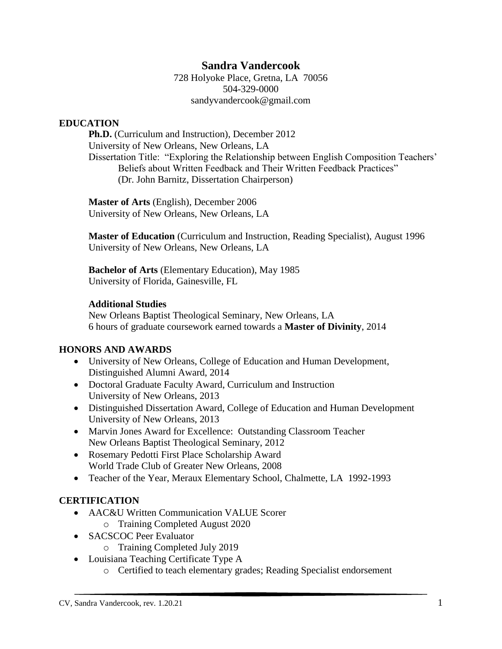### **Sandra Vandercook**

728 Holyoke Place, Gretna, LA 70056 504-329-0000 sandyvandercook@gmail.com

#### **EDUCATION**

**Ph.D.** (Curriculum and Instruction), December 2012 University of New Orleans, New Orleans, LA Dissertation Title: "Exploring the Relationship between English Composition Teachers' Beliefs about Written Feedback and Their Written Feedback Practices" (Dr. John Barnitz, Dissertation Chairperson)

**Master of Arts** (English), December 2006 University of New Orleans, New Orleans, LA

**Master of Education** (Curriculum and Instruction, Reading Specialist), August 1996 University of New Orleans, New Orleans, LA

**Bachelor of Arts** (Elementary Education), May 1985 University of Florida, Gainesville, FL

#### **Additional Studies**

New Orleans Baptist Theological Seminary, New Orleans, LA 6 hours of graduate coursework earned towards a **Master of Divinity**, 2014

#### **HONORS AND AWARDS**

- University of New Orleans, College of Education and Human Development, Distinguished Alumni Award, 2014
- Doctoral Graduate Faculty Award, Curriculum and Instruction University of New Orleans, 2013
- Distinguished Dissertation Award, College of Education and Human Development University of New Orleans, 2013
- Marvin Jones Award for Excellence: Outstanding Classroom Teacher New Orleans Baptist Theological Seminary, 2012
- Rosemary Pedotti First Place Scholarship Award World Trade Club of Greater New Orleans, 2008
- Teacher of the Year, Meraux Elementary School, Chalmette, LA 1992-1993

#### **CERTIFICATION**

- AAC&U Written Communication VALUE Scorer o Training Completed August 2020
- SACSCOC Peer Evaluator
	- o Training Completed July 2019
- Louisiana Teaching Certificate Type A
	- o Certified to teach elementary grades; Reading Specialist endorsement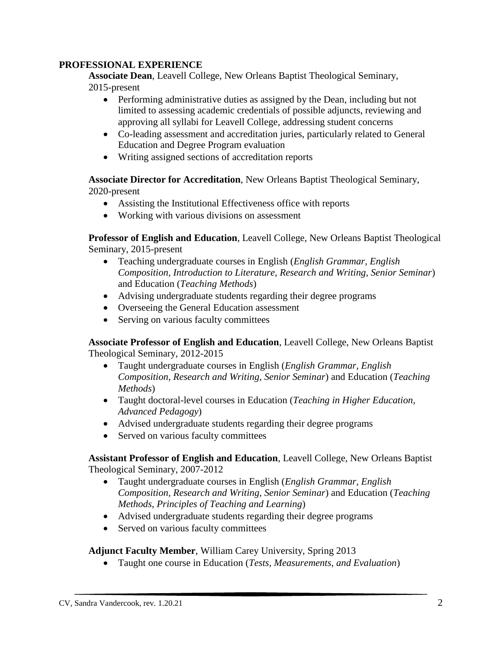#### **PROFESSIONAL EXPERIENCE**

**Associate Dean**, Leavell College, New Orleans Baptist Theological Seminary, 2015-present

- Performing administrative duties as assigned by the Dean, including but not limited to assessing academic credentials of possible adjuncts, reviewing and approving all syllabi for Leavell College, addressing student concerns
- Co-leading assessment and accreditation juries, particularly related to General Education and Degree Program evaluation
- Writing assigned sections of accreditation reports

**Associate Director for Accreditation**, New Orleans Baptist Theological Seminary, 2020-present

- Assisting the Institutional Effectiveness office with reports
- Working with various divisions on assessment

**Professor of English and Education**, Leavell College, New Orleans Baptist Theological Seminary, 2015-present

- Teaching undergraduate courses in English (*English Grammar, English Composition, Introduction to Literature, Research and Writing, Senior Seminar*) and Education (*Teaching Methods*)
- Advising undergraduate students regarding their degree programs
- Overseeing the General Education assessment
- Serving on various faculty committees

**Associate Professor of English and Education**, Leavell College, New Orleans Baptist Theological Seminary, 2012-2015

- Taught undergraduate courses in English (*English Grammar, English Composition, Research and Writing, Senior Seminar*) and Education (*Teaching Methods*)
- Taught doctoral-level courses in Education (*Teaching in Higher Education, Advanced Pedagogy*)
- Advised undergraduate students regarding their degree programs
- Served on various faculty committees

**Assistant Professor of English and Education**, Leavell College, New Orleans Baptist Theological Seminary, 2007-2012

- Taught undergraduate courses in English (*English Grammar, English Composition, Research and Writing, Senior Seminar*) and Education (*Teaching Methods, Principles of Teaching and Learning*)
- Advised undergraduate students regarding their degree programs
- Served on various faculty committees

### **Adjunct Faculty Member**, William Carey University, Spring 2013

Taught one course in Education (*Tests, Measurements, and Evaluation*)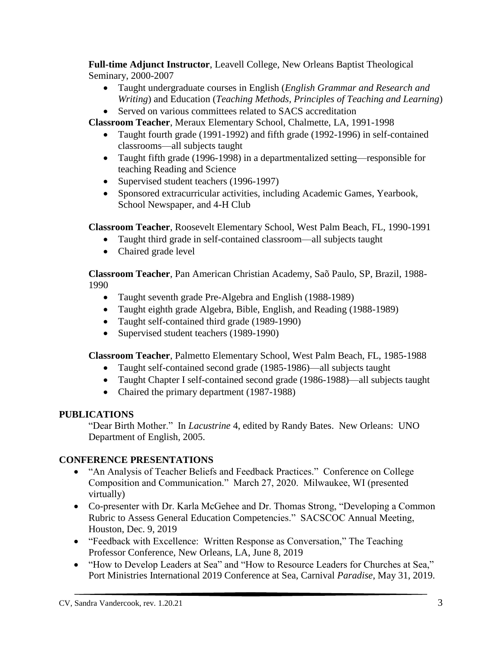**Full-time Adjunct Instructor**, Leavell College, New Orleans Baptist Theological Seminary, 2000-2007

- Taught undergraduate courses in English (*English Grammar and Research and Writing*) and Education (*Teaching Methods, Principles of Teaching and Learning*)
- Served on various committees related to SACS accreditation

**Classroom Teacher**, Meraux Elementary School, Chalmette, LA, 1991-1998

- Taught fourth grade (1991-1992) and fifth grade (1992-1996) in self-contained classrooms—all subjects taught
- Taught fifth grade (1996-1998) in a departmentalized setting—responsible for teaching Reading and Science
- Supervised student teachers (1996-1997)
- Sponsored extracurricular activities, including Academic Games, Yearbook, School Newspaper, and 4-H Club

**Classroom Teacher**, Roosevelt Elementary School, West Palm Beach, FL, 1990-1991

- Taught third grade in self-contained classroom—all subjects taught
- Chaired grade level

**Classroom Teacher**, Pan American Christian Academy, Saõ Paulo, SP, Brazil, 1988- 1990

- Taught seventh grade Pre-Algebra and English (1988-1989)
- Taught eighth grade Algebra, Bible, English, and Reading (1988-1989)
- Taught self-contained third grade (1989-1990)
- Supervised student teachers (1989-1990)

**Classroom Teacher**, Palmetto Elementary School, West Palm Beach, FL, 1985-1988

- Taught self-contained second grade (1985-1986)—all subjects taught
- Taught Chapter I self-contained second grade (1986-1988)—all subjects taught
- Chaired the primary department (1987-1988)

# **PUBLICATIONS**

"Dear Birth Mother." In *Lacustrine* 4, edited by Randy Bates. New Orleans: UNO Department of English, 2005.

# **CONFERENCE PRESENTATIONS**

- "An Analysis of Teacher Beliefs and Feedback Practices." Conference on College Composition and Communication." March 27, 2020. Milwaukee, WI (presented virtually)
- Co-presenter with Dr. Karla McGehee and Dr. Thomas Strong, "Developing a Common Rubric to Assess General Education Competencies." SACSCOC Annual Meeting, Houston, Dec. 9, 2019
- "Feedback with Excellence: Written Response as Conversation," The Teaching Professor Conference, New Orleans, LA, June 8, 2019
- "How to Develop Leaders at Sea" and "How to Resource Leaders for Churches at Sea," Port Ministries International 2019 Conference at Sea, Carnival *Paradise*, May 31, 2019.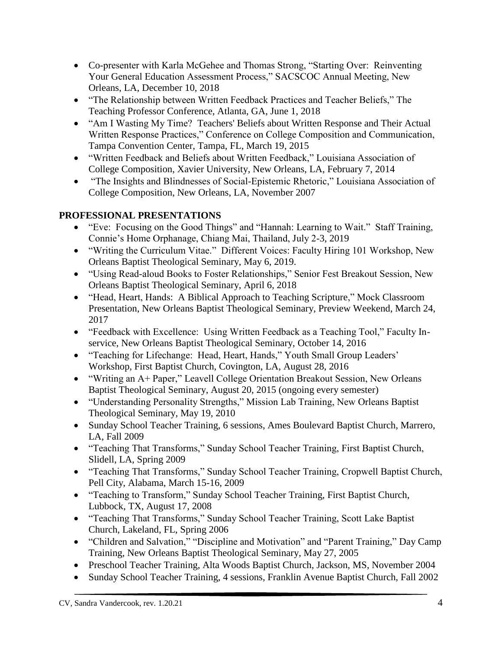- Co-presenter with Karla McGehee and Thomas Strong, "Starting Over: Reinventing Your General Education Assessment Process," SACSCOC Annual Meeting, New Orleans, LA, December 10, 2018
- "The Relationship between Written Feedback Practices and Teacher Beliefs," The Teaching Professor Conference, Atlanta, GA, June 1, 2018
- "Am I Wasting My Time? Teachers' Beliefs about Written Response and Their Actual Written Response Practices," Conference on College Composition and Communication, Tampa Convention Center, Tampa, FL, March 19, 2015
- "Written Feedback and Beliefs about Written Feedback," Louisiana Association of College Composition, Xavier University, New Orleans, LA, February 7, 2014
- "The Insights and Blindnesses of Social-Epistemic Rhetoric," Louisiana Association of College Composition, New Orleans, LA, November 2007

## **PROFESSIONAL PRESENTATIONS**

- "Eve: Focusing on the Good Things" and "Hannah: Learning to Wait." Staff Training, Connie's Home Orphanage, Chiang Mai, Thailand, July 2-3, 2019
- "Writing the Curriculum Vitae." Different Voices: Faculty Hiring 101 Workshop, New Orleans Baptist Theological Seminary, May 6, 2019.
- "Using Read-aloud Books to Foster Relationships," Senior Fest Breakout Session, New Orleans Baptist Theological Seminary, April 6, 2018
- "Head, Heart, Hands: A Biblical Approach to Teaching Scripture," Mock Classroom Presentation, New Orleans Baptist Theological Seminary, Preview Weekend, March 24, 2017
- "Feedback with Excellence: Using Written Feedback as a Teaching Tool," Faculty Inservice, New Orleans Baptist Theological Seminary, October 14, 2016
- "Teaching for Lifechange: Head, Heart, Hands," Youth Small Group Leaders' Workshop, First Baptist Church, Covington, LA, August 28, 2016
- "Writing an A+ Paper," Leavell College Orientation Breakout Session, New Orleans Baptist Theological Seminary, August 20, 2015 (ongoing every semester)
- "Understanding Personality Strengths," Mission Lab Training, New Orleans Baptist Theological Seminary, May 19, 2010
- Sunday School Teacher Training, 6 sessions, Ames Boulevard Baptist Church, Marrero, LA, Fall 2009
- "Teaching That Transforms," Sunday School Teacher Training, First Baptist Church, Slidell, LA, Spring 2009
- "Teaching That Transforms," Sunday School Teacher Training, Cropwell Baptist Church, Pell City, Alabama, March 15-16, 2009
- "Teaching to Transform," Sunday School Teacher Training, First Baptist Church, Lubbock, TX, August 17, 2008
- "Teaching That Transforms," Sunday School Teacher Training, Scott Lake Baptist Church, Lakeland, FL, Spring 2006
- "Children and Salvation," "Discipline and Motivation" and "Parent Training," Day Camp Training, New Orleans Baptist Theological Seminary, May 27, 2005
- Preschool Teacher Training, Alta Woods Baptist Church, Jackson, MS, November 2004
- Sunday School Teacher Training, 4 sessions, Franklin Avenue Baptist Church, Fall 2002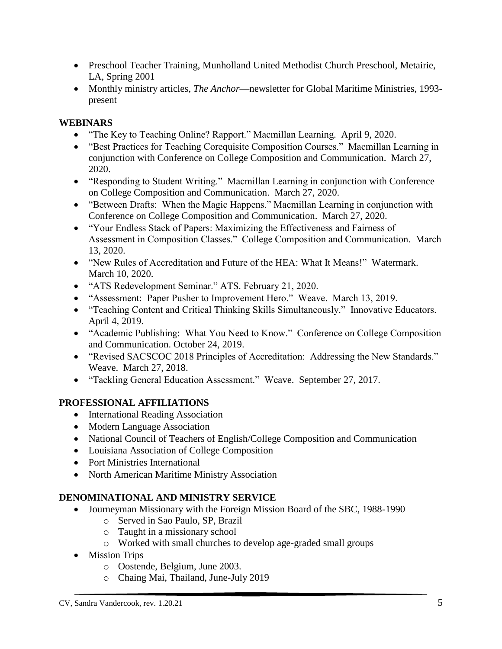- Preschool Teacher Training, Munholland United Methodist Church Preschool, Metairie, LA, Spring 2001
- Monthly ministry articles, *The Anchor*—newsletter for Global Maritime Ministries, 1993 present

### **WEBINARS**

- "The Key to Teaching Online? Rapport." Macmillan Learning. April 9, 2020.
- "Best Practices for Teaching Corequisite Composition Courses." Macmillan Learning in conjunction with Conference on College Composition and Communication. March 27, 2020.
- "Responding to Student Writing." Macmillan Learning in conjunction with Conference on College Composition and Communication. March 27, 2020.
- "Between Drafts: When the Magic Happens." Macmillan Learning in conjunction with Conference on College Composition and Communication. March 27, 2020.
- "Your Endless Stack of Papers: Maximizing the Effectiveness and Fairness of Assessment in Composition Classes." College Composition and Communication. March 13, 2020.
- "New Rules of Accreditation and Future of the HEA: What It Means!" Watermark. March 10, 2020.
- "ATS Redevelopment Seminar." ATS. February 21, 2020.
- "Assessment: Paper Pusher to Improvement Hero." Weave. March 13, 2019.
- "Teaching Content and Critical Thinking Skills Simultaneously." Innovative Educators. April 4, 2019.
- "Academic Publishing: What You Need to Know." Conference on College Composition and Communication. October 24, 2019.
- "Revised SACSCOC 2018 Principles of Accreditation: Addressing the New Standards." Weave. March 27, 2018.
- "Tackling General Education Assessment." Weave. September 27, 2017.

# **PROFESSIONAL AFFILIATIONS**

- International Reading Association
- Modern Language Association
- National Council of Teachers of English/College Composition and Communication
- Louisiana Association of College Composition
- Port Ministries International
- North American Maritime Ministry Association

# **DENOMINATIONAL AND MINISTRY SERVICE**

- Journeyman Missionary with the Foreign Mission Board of the SBC, 1988-1990
	- o Served in Sao Paulo, SP, Brazil
	- o Taught in a missionary school
	- o Worked with small churches to develop age-graded small groups
- Mission Trips
	- o Oostende, Belgium, June 2003.
	- o Chaing Mai, Thailand, June-July 2019